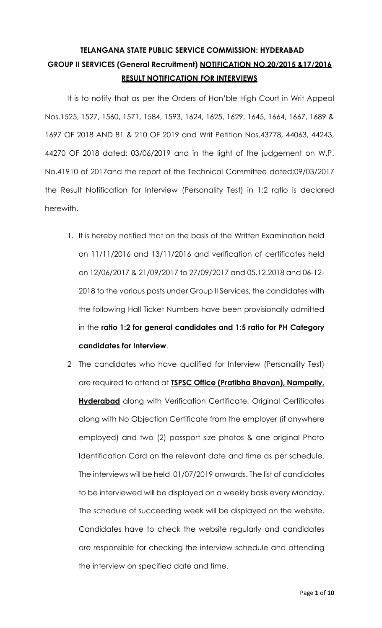# **TELANGANA STATE PUBLIC SERVICE COMMISSION: HYDERABAD GROUP II SERVICES (General Recruitment) NOTIFICATION NO.20/2015 &17/2016 RESULT NOTIFICATION FOR INTERVIEWS**

It is to notify that as per the Orders of Hon'ble High Court in Writ Appeal Nos.1525, 1527, 1560, 1571, 1584, 1593, 1624, 1625, 1629, 1645, 1664, 1667, 1689 & 1697 OF 2018 AND 81 & 210 OF 2019 and Writ Petition Nos.43778, 44063, 44243, 44270 OF 2018 dated: 03/06/2019 and in the light of the judgement on W.P. No.41910 of 2017and the report of the Technical Committee dated:09/03/2017 the Result Notification for Interview (Personality Test) in 1:2 ratio is declared herewith.

- 1. It is hereby notified that on the basis of the Written Examination held on 11/11/2016 and 13/11/2016 and verification of certificates held on 12/06/2017 & 21/09/2017 to 27/09/2017 and 05.12.2018 and 06-12- 2018 to the various posts under Group II Services, the candidates with the following Hall Ticket Numbers have been provisionally admitted in the **ratio 1:2 for general candidates and 1:5 ratio for PH Category candidates for Interview**.
- 2 The candidates who have qualified for Interview (Personality Test) are required to attend at **TSPSC Office (Pratibha Bhavan), Nampally, Hyderabad** along with Verification Certificate, Original Certificates along with No Objection Certificate from the employer (if anywhere employed) and two (2) passport size photos & one original Photo Identification Card on the relevant date and time as per schedule. The interviews will be held 01/07/2019 onwards. The list of candidates to be interviewed will be displayed on a weekly basis every Monday. The schedule of succeeding week will be displayed on the website. Candidates have to check the website regularly and candidates are responsible for checking the interview schedule and attending the interview on specified date and time.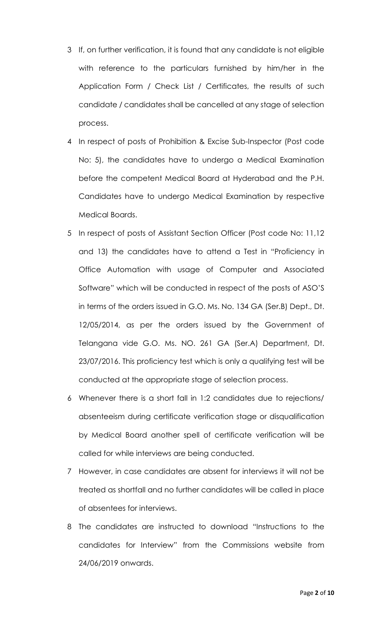- 3 If, on further verification, it is found that any candidate is not eligible with reference to the particulars furnished by him/her in the Application Form / Check List / Certificates, the results of such candidate / candidates shall be cancelled at any stage of selection process.
- 4 In respect of posts of Prohibition & Excise Sub-Inspector (Post code No: 5), the candidates have to undergo a Medical Examination before the competent Medical Board at Hyderabad and the P.H. Candidates have to undergo Medical Examination by respective Medical Boards.
- 5 In respect of posts of Assistant Section Officer (Post code No: 11,12 and 13) the candidates have to attend a Test in "Proficiency in Office Automation with usage of Computer and Associated Software" which will be conducted in respect of the posts of ASO'S in terms of the orders issued in G.O. Ms. No. 134 GA (Ser.B) Dept., Dt. 12/05/2014, as per the orders issued by the Government of Telangana vide G.O. Ms. NO. 261 GA (Ser.A) Department, Dt. 23/07/2016. This proficiency test which is only a qualifying test will be conducted at the appropriate stage of selection process.
- 6 Whenever there is a short fall in 1:2 candidates due to rejections/ absenteeism during certificate verification stage or disqualification by Medical Board another spell of certificate verification will be called for while interviews are being conducted.
- 7 However, in case candidates are absent for interviews it will not be treated as shortfall and no further candidates will be called in place of absentees for interviews.
- 8 The candidates are instructed to download "Instructions to the candidates for Interview" from the Commissions website from 24/06/2019 onwards.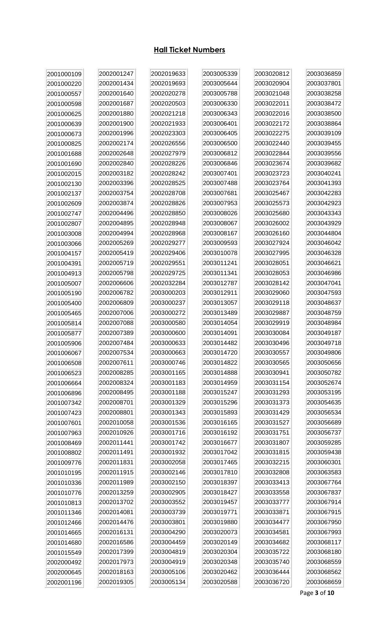## **Hall Ticket Numbers**

| 2001000109 | 2002001247 | 2002019633 | 2003005339 | 2003020812 | 2003036859 |
|------------|------------|------------|------------|------------|------------|
| 2001000220 | 2002001434 | 2002019693 | 2003005644 | 2003020904 | 2003037801 |
| 2001000557 | 2002001640 | 2002020278 | 2003005788 | 2003021048 | 2003038258 |
| 2001000598 | 2002001687 | 2002020503 | 2003006330 | 2003022011 | 2003038472 |
| 2001000625 | 2002001880 | 2002021218 | 2003006343 | 2003022016 | 2003038500 |
| 2001000639 | 2002001900 | 2002021933 | 2003006401 | 2003022172 | 2003038864 |
| 2001000673 | 2002001996 | 2002023303 | 2003006405 | 2003022275 | 2003039109 |
| 2001000825 | 2002002174 | 2002026556 | 2003006500 | 2003022440 | 2003039455 |
| 2001001688 | 2002002648 | 2002027979 | 2003006812 | 2003022844 | 2003039556 |
| 2001001690 | 2002002840 | 2002028226 | 2003006846 | 2003023674 | 2003039682 |
| 2001002015 | 2002003182 | 2002028242 | 2003007401 | 2003023723 | 2003040241 |
| 2001002130 | 2002003396 | 2002028525 | 2003007488 | 2003023764 | 2003041393 |
| 2001002137 | 2002003754 | 2002028708 | 2003007681 | 2003025467 | 2003042283 |
| 2001002609 | 2002003874 | 2002028826 | 2003007953 | 2003025573 | 2003042923 |
| 2001002747 | 2002004496 | 2002028850 | 2003008026 | 2003025680 | 2003043343 |
| 2001002807 | 2002004895 | 2002028948 | 2003008067 | 2003026002 | 2003043929 |
| 2001003008 | 2002004994 | 2002028968 | 2003008167 | 2003026160 | 2003044804 |
| 2001003066 | 2002005269 | 2002029277 | 2003009593 | 2003027924 | 2003046042 |
| 2001004157 | 2002005419 | 2002029406 | 2003010078 | 2003027995 | 2003046328 |
| 2001004391 | 2002005719 | 2002029551 | 2003011241 | 2003028051 | 2003046621 |
| 2001004913 | 2002005798 | 2002029725 | 2003011341 | 2003028053 | 2003046986 |
| 2001005007 | 2002006606 | 2002032284 | 2003012787 | 2003028142 | 2003047041 |
| 2001005190 | 2002006782 | 2003000203 | 2003012911 | 2003029060 | 2003047593 |
| 2001005400 | 2002006809 | 2003000237 | 2003013057 | 2003029118 | 2003048637 |
| 2001005465 | 2002007006 | 2003000272 | 2003013489 | 2003029887 | 2003048759 |
| 2001005814 | 2002007088 | 2003000580 | 2003014054 | 2003029919 | 2003048984 |
| 2001005877 | 2002007389 | 2003000600 | 2003014091 | 2003030084 | 2003049187 |
| 2001005906 | 2002007484 | 2003000633 | 2003014482 | 2003030496 | 2003049718 |
| 2001006067 | 2002007534 | 2003000663 | 2003014720 | 2003030557 | 2003049806 |
| 2001006508 | 2002007611 | 2003000746 | 2003014822 | 2003030565 | 2003050656 |
| 2001006523 | 2002008285 | 2003001165 | 2003014888 | 2003030941 | 2003050782 |
| 2001006664 | 2002008324 | 2003001183 | 2003014959 | 2003031154 | 2003052674 |
| 2001006896 | 2002008495 | 2003001188 | 2003015247 | 2003031293 | 2003053195 |
| 2001007342 | 2002008701 | 2003001329 | 2003015296 | 2003031373 | 2003054635 |
| 2001007423 | 2002008801 | 2003001343 | 2003015893 | 2003031429 | 2003056534 |
| 2001007601 | 2002010058 | 2003001536 | 2003016165 | 2003031527 | 2003056689 |
| 2001007963 | 2002010926 | 2003001716 | 2003016192 | 2003031751 | 2003056737 |
| 2001008469 | 2002011441 | 2003001742 | 2003016677 | 2003031807 | 2003059285 |
| 2001008802 | 2002011491 | 2003001932 | 2003017042 | 2003031815 | 2003059438 |
| 2001009776 | 2002011831 | 2003002058 | 2003017465 | 2003032215 | 2003060301 |
| 2001010195 | 2002011915 | 2003002146 | 2003017810 | 2003032808 | 2003063583 |
| 2001010336 | 2002011989 | 2003002150 | 2003018397 | 2003033413 | 2003067764 |
| 2001010776 | 2002013259 | 2003002905 | 2003018427 | 2003033558 | 2003067837 |
| 2001010813 | 2002013702 | 2003003552 | 2003019457 | 2003033777 | 2003067914 |
| 2001011346 | 2002014081 | 2003003739 | 2003019771 | 2003033871 | 2003067915 |
| 2001012466 | 2002014476 | 2003003801 | 2003019880 | 2003034477 | 2003067950 |
| 2001014665 | 2002016131 | 2003004290 | 2003020073 | 2003034581 | 2003067993 |
| 2001014680 | 2002016586 | 2003004459 | 2003020149 | 2003034682 | 2003068117 |
| 2001015549 | 2002017399 | 2003004819 | 2003020304 | 2003035722 | 2003068180 |
| 2002000492 | 2002017973 | 2003004919 | 2003020348 | 2003035740 | 2003068559 |
| 2002000645 | 2002018163 | 2003005106 | 2003020462 | 2003036444 | 2003068562 |
| 2002001196 | 2002019305 | 2003005134 | 2003020588 | 2003036720 | 2003068659 |

Page 3 of 10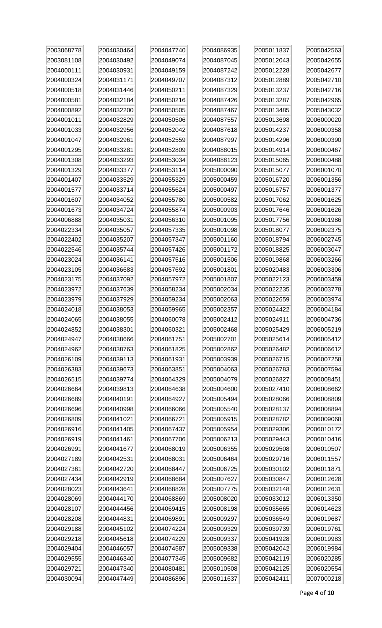| 2003068778 | 2004030464 | 2004047740 | 2004086935 | 2005011837 | 2005042563 |
|------------|------------|------------|------------|------------|------------|
| 2003081108 | 2004030492 | 2004049074 | 2004087045 | 2005012043 | 2005042655 |
| 2004000111 | 2004030931 | 2004049159 | 2004087242 | 2005012228 | 2005042677 |
| 2004000324 | 2004031171 | 2004049707 | 2004087312 | 2005012889 | 2005042710 |
| 2004000518 | 2004031446 | 2004050211 | 2004087329 | 2005013237 | 2005042716 |
| 2004000581 | 2004032184 | 2004050216 | 2004087426 | 2005013287 | 2005042965 |
| 2004000892 | 2004032200 | 2004050505 | 2004087467 | 2005013485 | 2005043032 |
| 2004001011 | 2004032829 | 2004050506 | 2004087557 | 2005013698 | 2006000020 |
| 2004001033 | 2004032956 | 2004052042 | 2004087618 | 2005014237 | 2006000358 |
| 2004001047 | 2004032961 | 2004052559 | 2004087997 | 2005014296 | 2006000390 |
| 2004001295 | 2004033281 | 2004052809 | 2004088015 | 2005014914 | 2006000467 |
| 2004001308 | 2004033293 | 2004053034 | 2004088123 | 2005015065 | 2006000488 |
| 2004001329 | 2004033377 | 2004053114 | 2005000090 | 2005015077 | 2006001070 |
| 2004001407 | 2004033529 | 2004055329 | 2005000459 | 2005016720 | 2006001356 |
| 2004001577 | 2004033714 | 2004055624 | 2005000497 | 2005016757 | 2006001377 |
| 2004001607 | 2004034052 | 2004055780 | 2005000582 | 2005017062 | 2006001625 |
| 2004001673 | 2004034724 | 2004055874 | 2005000903 | 2005017646 | 2006001626 |
| 2004006888 | 2004035031 | 2004056310 | 2005001095 | 2005017756 | 2006001986 |
| 2004022334 | 2004035057 | 2004057335 | 2005001098 | 2005018077 | 2006002375 |
| 2004022402 | 2004035207 | 2004057347 | 2005001160 | 2005018794 | 2006002745 |
| 2004022546 | 2004035744 | 2004057426 | 2005001172 | 2005018825 | 2006003047 |
| 2004023024 | 2004036141 | 2004057516 | 2005001506 | 2005019868 | 2006003266 |
| 2004023105 | 2004036683 | 2004057692 | 2005001801 | 2005020483 | 2006003306 |
| 2004023175 | 2004037092 | 2004057972 | 2005001807 | 2005022123 | 2006003459 |
| 2004023972 | 2004037639 | 2004058234 | 2005002034 | 2005022235 | 2006003778 |
| 2004023979 | 2004037929 | 2004059234 | 2005002063 | 2005022659 | 2006003974 |
| 2004024018 | 2004038053 | 2004059965 | 2005002357 | 2005024422 | 2006004184 |
| 2004024065 | 2004038055 | 2004060078 | 2005002412 | 2005024911 | 2006004736 |
| 2004024852 | 2004038301 | 2004060321 | 2005002468 | 2005025429 | 2006005219 |
| 2004024947 | 2004038666 | 2004061751 | 2005002701 | 2005025614 | 2006005412 |
| 2004024962 | 2004038763 | 2004061825 | 2005002862 | 2005026482 | 2006006612 |
| 2004026109 | 2004039113 | 2004061931 | 2005003939 | 2005026715 | 2006007258 |
| 2004026383 | 2004039673 | 2004063851 | 2005004063 | 2005026783 | 2006007594 |
| 2004026515 | 2004039774 | 2004064329 | 2005004079 | 2005026827 | 2006008451 |
| 2004026664 | 2004039813 | 2004064638 | 2005004600 | 2005027410 | 2006008662 |
| 2004026689 | 2004040191 | 2004064927 | 2005005494 | 2005028066 | 2006008809 |
| 2004026696 | 2004040998 | 2004066066 | 2005005540 | 2005028137 | 2006008894 |
| 2004026809 | 2004041021 | 2004066721 | 2005005915 | 2005028782 | 2006009068 |
| 2004026916 | 2004041405 | 2004067437 | 2005005954 | 2005029306 | 2006010172 |
| 2004026919 | 2004041461 | 2004067706 | 2005006213 | 2005029443 | 2006010416 |
| 2004026991 | 2004041677 | 2004068019 | 2005006355 | 2005029508 | 2006010507 |
| 2004027189 | 2004042531 | 2004068031 | 2005006464 | 2005029716 | 2006011557 |
| 2004027361 | 2004042720 | 2004068447 | 2005006725 | 2005030102 | 2006011871 |
| 2004027434 | 2004042919 | 2004068684 | 2005007627 | 2005030847 | 2006012628 |
| 2004028023 | 2004043641 | 2004068828 | 2005007775 | 2005032148 | 2006012631 |
| 2004028069 | 2004044170 | 2004068869 | 2005008020 | 2005033012 | 2006013350 |
| 2004028107 | 2004044456 | 2004069415 | 2005008198 | 2005035665 | 2006014623 |
| 2004028208 | 2004044831 | 2004069891 | 2005009297 | 2005036549 | 2006019687 |
| 2004029188 | 2004045102 | 2004074224 | 2005009329 | 2005039739 | 2006019761 |
| 2004029218 | 2004045618 | 2004074229 | 2005009337 | 2005041928 | 2006019983 |
| 2004029404 | 2004046057 | 2004074587 | 2005009338 | 2005042042 | 2006019984 |
| 2004029555 | 2004046340 | 2004077345 | 2005009682 | 2005042119 | 2006020285 |
| 2004029721 | 2004047340 | 2004080481 | 2005010508 | 2005042125 | 2006020554 |
| 2004030094 | 2004047449 | 2004086896 | 2005011637 | 2005042411 | 2007000218 |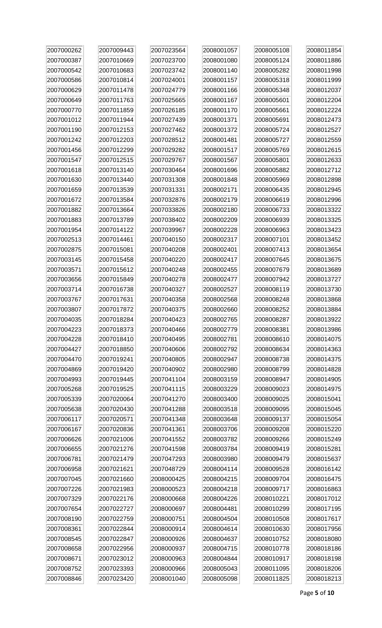| 2007000262 | 2007009443 | 2007023564 | 2008001057 | 2008005108 | 2008011854 |
|------------|------------|------------|------------|------------|------------|
| 2007000387 | 2007010669 | 2007023700 | 2008001080 | 2008005124 | 2008011886 |
| 2007000542 | 2007010683 | 2007023742 | 2008001140 | 2008005282 | 2008011998 |
| 2007000586 | 2007010814 | 2007024001 | 2008001157 | 2008005318 | 2008011999 |
| 2007000629 | 2007011478 | 2007024779 | 2008001166 | 2008005348 | 2008012037 |
| 2007000649 | 2007011763 | 2007025665 | 2008001167 | 2008005601 | 2008012204 |
| 2007000770 | 2007011859 | 2007026185 | 2008001170 | 2008005661 | 2008012224 |
| 2007001012 | 2007011944 | 2007027439 | 2008001371 | 2008005691 | 2008012473 |
| 2007001190 | 2007012153 | 2007027462 | 2008001372 | 2008005724 | 2008012527 |
| 2007001242 | 2007012203 | 2007028512 | 2008001481 | 2008005727 | 2008012559 |
| 2007001456 | 2007012299 | 2007029282 | 2008001517 | 2008005769 | 2008012615 |
| 2007001547 | 2007012515 | 2007029767 | 2008001567 | 2008005801 | 2008012633 |
| 2007001618 | 2007013140 | 2007030464 | 2008001696 | 2008005882 | 2008012712 |
| 2007001630 | 2007013440 | 2007031308 | 2008001848 | 2008005969 | 2008012898 |
| 2007001659 | 2007013539 | 2007031331 | 2008002171 | 2008006435 | 2008012945 |
| 2007001672 | 2007013584 | 2007032876 | 2008002179 | 2008006619 | 2008012996 |
| 2007001882 | 2007013664 | 2007033826 | 2008002180 | 2008006733 | 2008013322 |
| 2007001883 | 2007013789 | 2007038402 | 2008002209 | 2008006939 | 2008013325 |
| 2007001954 | 2007014122 | 2007039967 | 2008002228 | 2008006963 | 2008013423 |
| 2007002513 | 2007014461 | 2007040150 | 2008002317 | 2008007101 | 2008013452 |
| 2007002875 | 2007015081 | 2007040208 | 2008002401 | 2008007413 | 2008013654 |
| 2007003145 | 2007015458 | 2007040220 | 2008002417 | 2008007645 | 2008013675 |
| 2007003571 | 2007015612 | 2007040248 | 2008002455 | 2008007679 | 2008013689 |
| 2007003656 | 2007015849 | 2007040278 | 2008002477 | 2008007942 | 2008013727 |
| 2007003714 | 2007016738 | 2007040327 | 2008002527 | 2008008119 | 2008013730 |
| 2007003767 | 2007017631 | 2007040358 | 2008002568 | 2008008248 | 2008013868 |
| 2007003807 | 2007017872 | 2007040375 | 2008002660 | 2008008252 | 2008013884 |
| 2007004035 | 2007018284 | 2007040423 | 2008002765 | 2008008287 | 2008013922 |
| 2007004223 | 2007018373 | 2007040466 | 2008002779 | 2008008381 | 2008013986 |
| 2007004228 | 2007018410 | 2007040495 | 2008002781 | 2008008610 | 2008014075 |
| 2007004427 | 2007018850 | 2007040606 | 2008002792 | 2008008634 | 2008014363 |
| 2007004470 | 2007019241 | 2007040805 | 2008002947 | 2008008738 | 2008014375 |
| 2007004869 | 2007019420 | 2007040902 | 2008002980 | 2008008799 | 2008014828 |
| 2007004993 | 2007019445 | 2007041104 | 2008003159 | 2008008947 | 2008014905 |
| 2007005268 | 2007019525 | 2007041115 | 2008003229 | 2008009023 | 2008014975 |
| 2007005339 | 2007020064 | 2007041270 | 2008003400 | 2008009025 | 2008015041 |
| 2007005638 | 2007020430 | 2007041288 | 2008003518 | 2008009095 | 2008015045 |
| 2007006117 | 2007020571 | 2007041348 | 2008003648 | 2008009137 | 2008015054 |
| 2007006167 | 2007020836 | 2007041361 | 2008003706 | 2008009208 | 2008015220 |
| 2007006626 | 2007021006 | 2007041552 | 2008003782 | 2008009266 | 2008015249 |
| 2007006655 | 2007021276 | 2007041598 | 2008003784 | 2008009419 | 2008015281 |
| 2007006781 | 2007021479 | 2007047293 | 2008003980 | 2008009479 | 2008015637 |
| 2007006958 | 2007021621 | 2007048729 | 2008004114 | 2008009528 | 2008016142 |
| 2007007045 | 2007021660 | 2008000425 | 2008004215 | 2008009704 | 2008016475 |
| 2007007226 | 2007021983 | 2008000523 | 2008004218 | 2008009717 | 2008016863 |
| 2007007329 | 2007022176 | 2008000668 | 2008004226 | 2008010221 | 2008017012 |
| 2007007654 | 2007022727 | 2008000697 | 2008004481 | 2008010299 | 2008017195 |
| 2007008190 | 2007022759 | 2008000751 | 2008004504 | 2008010508 | 2008017617 |
| 2007008361 | 2007022844 | 2008000914 | 2008004614 | 2008010630 | 2008017956 |
| 2007008545 | 2007022847 | 2008000926 | 2008004637 | 2008010752 | 2008018080 |
| 2007008658 | 2007022956 | 2008000937 | 2008004715 | 2008010778 | 2008018186 |
| 2007008671 | 2007023012 | 2008000963 | 2008004844 | 2008010917 | 2008018198 |
| 2007008752 | 2007023393 | 2008000966 | 2008005043 | 2008011095 | 2008018206 |
| 2007008846 | 2007023420 | 2008001040 | 2008005098 | 2008011825 | 2008018213 |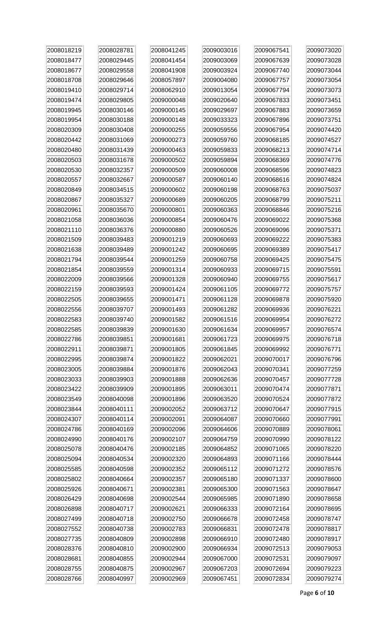| 2008018219 | 2008028781 | 2008041245 | 2009003016 | 2009067541 | 2009073020 |
|------------|------------|------------|------------|------------|------------|
| 2008018477 | 2008029445 | 2008041454 | 2009003069 | 2009067639 | 2009073028 |
| 2008018677 | 2008029558 | 2008041908 | 2009003924 | 2009067740 | 2009073044 |
| 2008018708 | 2008029646 | 2008057897 | 2009004080 | 2009067757 | 2009073054 |
| 2008019410 | 2008029714 | 2008062910 | 2009013054 | 2009067794 | 2009073073 |
| 2008019474 | 2008029805 | 2009000048 | 2009020640 | 2009067833 | 2009073451 |
| 2008019945 | 2008030146 | 2009000145 | 2009029697 | 2009067883 | 2009073659 |
| 2008019954 | 2008030188 | 2009000148 | 2009033323 | 2009067896 | 2009073751 |
| 2008020309 | 2008030408 | 2009000255 | 2009059556 | 2009067954 | 2009074420 |
| 2008020442 | 2008031069 | 2009000273 | 2009059760 | 2009068185 | 2009074527 |
| 2008020480 | 2008031439 | 2009000463 | 2009059833 | 2009068213 | 2009074714 |
| 2008020503 | 2008031678 | 2009000502 | 2009059894 | 2009068369 | 2009074776 |
| 2008020530 | 2008032357 | 2009000509 | 2009060008 | 2009068596 | 2009074823 |
| 2008020557 | 2008032667 | 2009000587 | 2009060140 | 2009068616 | 2009074824 |
| 2008020849 | 2008034515 | 2009000602 | 2009060198 | 2009068763 | 2009075037 |
| 2008020867 | 2008035327 | 2009000689 | 2009060205 | 2009068799 | 2009075211 |
| 2008020961 | 2008035670 | 2009000801 | 2009060363 | 2009068846 | 2009075216 |
| 2008021058 | 2008036036 | 2009000854 | 2009060476 | 2009069022 | 2009075368 |
| 2008021110 | 2008036376 | 2009000880 | 2009060526 | 2009069096 | 2009075371 |
| 2008021509 | 2008039483 | 2009001219 | 2009060693 | 2009069222 | 2009075383 |
| 2008021638 | 2008039489 | 2009001242 | 2009060695 | 2009069389 | 2009075417 |
| 2008021794 | 2008039544 | 2009001259 | 2009060758 | 2009069425 | 2009075475 |
| 2008021854 | 2008039559 | 2009001314 | 2009060933 | 2009069715 | 2009075591 |
| 2008022009 | 2008039566 | 2009001328 | 2009060940 | 2009069755 | 2009075617 |
| 2008022159 | 2008039593 | 2009001424 | 2009061105 | 2009069772 | 2009075757 |
| 2008022505 | 2008039655 | 2009001471 | 2009061128 | 2009069878 | 2009075920 |
| 2008022556 | 2008039707 | 2009001493 | 2009061282 | 2009069936 | 2009076221 |
| 2008022583 | 2008039740 | 2009001582 | 2009061516 | 2009069954 | 2009076272 |
| 2008022585 | 2008039839 | 2009001630 | 2009061634 | 2009069957 | 2009076574 |
| 2008022786 | 2008039851 | 2009001681 | 2009061723 | 2009069975 | 2009076718 |
| 2008022911 | 2008039871 | 2009001805 | 2009061845 | 2009069992 | 2009076771 |
| 2008022995 | 2008039874 | 2009001822 | 2009062021 | 2009070017 | 2009076796 |
| 2008023005 | 2008039884 | 2009001876 | 2009062043 | 2009070341 | 2009077259 |
| 2008023033 | 2008039903 | 2009001888 | 2009062636 | 2009070457 | 2009077728 |
| 2008023422 | 2008039909 | 2009001895 | 2009063011 | 2009070474 | 2009077871 |
| 2008023549 | 2008040098 | 2009001896 | 2009063520 | 2009070524 | 2009077872 |
| 2008023844 | 2008040111 | 2009002052 | 2009063712 | 2009070647 | 2009077915 |
| 2008024307 | 2008040114 | 2009002091 | 2009064087 | 2009070660 | 2009077991 |
| 2008024786 | 2008040169 | 2009002096 | 2009064606 | 2009070889 | 2009078061 |
| 2008024990 | 2008040176 | 2009002107 | 2009064759 | 2009070990 | 2009078122 |
| 2008025078 | 2008040476 | 2009002185 | 2009064852 | 2009071065 | 2009078220 |
| 2008025094 | 2008040534 | 2009002320 | 2009064893 | 2009071166 | 2009078444 |
| 2008025585 | 2008040598 | 2009002352 | 2009065112 | 2009071272 | 2009078576 |
| 2008025802 | 2008040664 | 2009002357 | 2009065180 | 2009071337 | 2009078600 |
| 2008025926 | 2008040671 | 2009002381 | 2009065300 | 2009071563 | 2009078647 |
| 2008026429 | 2008040698 | 2009002544 | 2009065985 | 2009071890 | 2009078658 |
| 2008026898 | 2008040717 | 2009002621 | 2009066333 | 2009072164 | 2009078695 |
| 2008027499 | 2008040718 | 2009002750 | 2009066678 | 2009072458 | 2009078747 |
| 2008027552 | 2008040738 | 2009002783 | 2009066831 | 2009072478 | 2009078817 |
| 2008027735 | 2008040809 | 2009002898 | 2009066910 | 2009072480 | 2009078917 |
| 2008028376 | 2008040810 | 2009002900 | 2009066934 | 2009072513 | 2009079053 |
| 2008028681 | 2008040855 | 2009002944 | 2009067000 | 2009072531 | 2009079097 |
| 2008028755 | 2008040875 | 2009002967 | 2009067203 | 2009072694 | 2009079223 |
| 2008028766 | 2008040997 | 2009002969 | 2009067451 | 2009072834 | 2009079274 |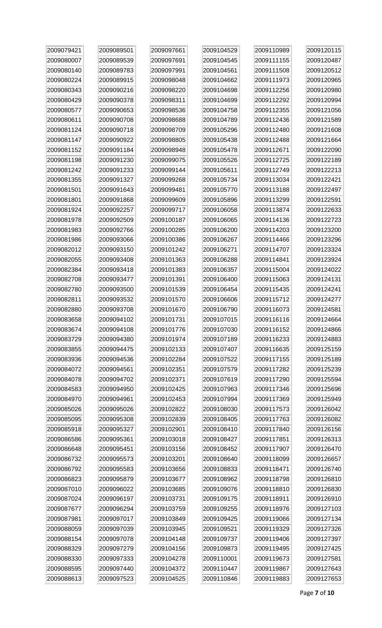| 2009079421 | 2009089501 | 2009097661 | 2009104529 | 2009110989 | 2009120115 |
|------------|------------|------------|------------|------------|------------|
| 2009080007 | 2009089539 | 2009097691 | 2009104545 | 2009111155 | 2009120487 |
| 2009080140 | 2009089783 | 2009097991 | 2009104561 | 2009111508 | 2009120512 |
| 2009080224 | 2009089915 | 2009098048 | 2009104662 | 2009111973 | 2009120965 |
| 2009080343 | 2009090216 | 2009098220 | 2009104698 | 2009112256 | 2009120980 |
| 2009080429 | 2009090378 | 2009098311 | 2009104699 | 2009112292 | 2009120994 |
| 2009080577 | 2009090653 | 2009098536 | 2009104758 | 2009112355 | 2009121056 |
| 2009080611 | 2009090708 | 2009098688 | 2009104789 | 2009112436 | 2009121589 |
| 2009081124 | 2009090718 | 2009098709 | 2009105296 | 2009112480 | 2009121608 |
| 2009081147 | 2009090922 | 2009098805 | 2009105438 | 2009112488 | 2009121664 |
| 2009081152 | 2009091184 | 2009098948 | 2009105478 | 2009112671 | 2009122090 |
| 2009081198 | 2009091230 | 2009099075 | 2009105526 | 2009112725 | 2009122189 |
| 2009081242 | 2009091233 | 2009099144 | 2009105611 | 2009112749 | 2009122213 |
| 2009081355 | 2009091327 | 2009099268 | 2009105734 | 2009113034 | 2009122421 |
| 2009081501 | 2009091643 | 2009099481 | 2009105770 | 2009113188 | 2009122497 |
| 2009081801 | 2009091868 | 2009099609 | 2009105896 | 2009113299 | 2009122591 |
| 2009081924 | 2009092257 | 2009099717 | 2009106058 | 2009113874 | 2009122633 |
| 2009081978 | 2009092509 | 2009100187 | 2009106065 | 2009114136 | 2009122723 |
| 2009081983 | 2009092766 | 2009100285 | 2009106200 | 2009114203 | 2009123200 |
| 2009081986 | 2009093066 | 2009100386 | 2009106267 | 2009114466 | 2009123296 |
| 2009082012 | 2009093150 | 2009101242 | 2009106271 | 2009114707 | 2009123324 |
| 2009082055 | 2009093408 | 2009101363 | 2009106288 | 2009114841 | 2009123924 |
| 2009082384 | 2009093418 | 2009101383 | 2009106357 | 2009115004 | 2009124022 |
| 2009082708 | 2009093477 | 2009101391 | 2009106400 | 2009115063 | 2009124131 |
| 2009082780 | 2009093500 | 2009101539 | 2009106454 | 2009115435 | 2009124241 |
| 2009082811 | 2009093532 | 2009101570 | 2009106606 | 2009115712 | 2009124277 |
| 2009082880 | 2009093708 | 2009101670 | 2009106790 | 2009116073 | 2009124581 |
| 2009083658 | 2009094102 | 2009101731 | 2009107015 | 2009116116 | 2009124664 |
| 2009083674 | 2009094108 | 2009101776 | 2009107030 | 2009116152 | 2009124866 |
| 2009083729 | 2009094380 | 2009101974 | 2009107189 | 2009116233 | 2009124883 |
| 2009083855 | 2009094475 | 2009102133 | 2009107407 | 2009116635 | 2009125159 |
| 2009083936 | 2009094536 | 2009102284 | 2009107522 | 2009117155 | 2009125189 |
| 2009084072 | 2009094561 | 2009102351 | 2009107579 | 2009117282 | 2009125239 |
| 2009084078 | 2009094702 | 2009102371 | 2009107619 | 2009117290 | 2009125594 |
| 2009084583 | 2009094950 | 2009102425 | 2009107963 | 2009117346 | 2009125696 |
| 2009084970 | 2009094961 | 2009102453 | 2009107994 | 2009117369 | 2009125949 |
| 2009085026 | 2009095026 | 2009102822 | 2009108030 | 2009117573 | 2009126042 |
| 2009085095 | 2009095308 | 2009102839 | 2009108405 | 2009117763 | 2009126082 |
| 2009085918 | 2009095327 | 2009102901 | 2009108410 | 2009117840 | 2009126156 |
| 2009086586 | 2009095361 | 2009103018 | 2009108427 | 2009117851 | 2009126313 |
| 2009086648 | 2009095451 | 2009103156 | 2009108452 | 2009117907 | 2009126470 |
| 2009086732 | 2009095573 | 2009103201 | 2009108640 | 2009118099 | 2009126657 |
| 2009086792 | 2009095583 | 2009103656 | 2009108833 | 2009118471 | 2009126740 |
| 2009086823 | 2009095879 | 2009103677 | 2009108962 | 2009118798 | 2009126810 |
| 2009087010 | 2009096022 | 2009103685 | 2009109076 | 2009118810 | 2009126830 |
| 2009087024 | 2009096197 | 2009103731 | 2009109175 | 2009118911 | 2009126910 |
| 2009087677 | 2009096294 | 2009103759 | 2009109255 | 2009118976 | 2009127103 |
| 2009087981 | 2009097017 | 2009103849 | 2009109425 | 2009119066 | 2009127134 |
| 2009088059 | 2009097039 | 2009103945 | 2009109521 | 2009119329 | 2009127326 |
| 2009088154 | 2009097078 | 2009104148 | 2009109737 | 2009119406 | 2009127397 |
| 2009088329 | 2009097279 | 2009104156 | 2009109873 | 2009119495 | 2009127425 |
| 2009088330 | 2009097333 | 2009104278 | 2009110001 | 2009119673 | 2009127581 |
| 2009088595 | 2009097440 | 2009104372 | 2009110447 | 2009119867 | 2009127643 |
| 2009088613 | 2009097523 | 2009104525 | 2009110846 | 2009119883 | 2009127653 |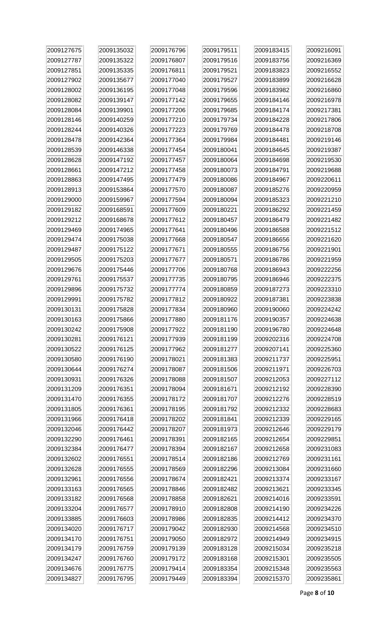| 2009127675 | 2009135032 | 2009176796 | 2009179511 | 2009183415 | 2009216091 |
|------------|------------|------------|------------|------------|------------|
| 2009127787 | 2009135322 | 2009176807 | 2009179516 | 2009183756 | 2009216369 |
| 2009127851 | 2009135335 | 2009176811 | 2009179521 | 2009183823 | 2009216552 |
| 2009127902 | 2009135677 | 2009177040 | 2009179527 | 2009183899 | 2009216628 |
| 2009128002 | 2009136195 | 2009177048 | 2009179596 | 2009183982 | 2009216860 |
| 2009128082 | 2009139147 | 2009177142 | 2009179655 | 2009184146 | 2009216978 |
| 2009128084 | 2009139901 | 2009177206 | 2009179685 | 2009184174 | 2009217381 |
| 2009128146 | 2009140259 | 2009177210 | 2009179734 | 2009184228 | 2009217806 |
| 2009128244 | 2009140326 | 2009177223 | 2009179769 | 2009184478 | 2009218708 |
| 2009128478 | 2009142364 | 2009177364 | 2009179984 | 2009184481 | 2009219146 |
| 2009128539 | 2009146338 | 2009177454 | 2009180041 | 2009184645 | 2009219387 |
| 2009128628 | 2009147192 | 2009177457 | 2009180064 | 2009184698 | 2009219530 |
| 2009128661 | 2009147212 | 2009177458 | 2009180073 | 2009184791 | 2009219688 |
| 2009128863 | 2009147495 | 2009177479 | 2009180086 | 2009184967 | 2009220611 |
| 2009128913 | 2009153864 | 2009177570 | 2009180087 | 2009185276 | 2009220959 |
| 2009129000 | 2009159967 | 2009177594 | 2009180094 | 2009185323 | 2009221210 |
| 2009129182 | 2009168591 | 2009177609 | 2009180221 | 2009186292 | 2009221459 |
| 2009129212 | 2009168678 | 2009177612 | 2009180457 | 2009186479 | 2009221482 |
| 2009129469 | 2009174965 | 2009177641 | 2009180496 | 2009186588 | 2009221512 |
| 2009129474 | 2009175038 | 2009177668 | 2009180547 | 2009186656 | 2009221620 |
| 2009129487 | 2009175122 | 2009177671 | 2009180555 | 2009186756 | 2009221901 |
| 2009129505 | 2009175203 | 2009177677 | 2009180571 | 2009186786 | 2009221959 |
| 2009129676 | 2009175446 | 2009177706 | 2009180768 | 2009186943 | 2009222256 |
| 2009129761 | 2009175537 | 2009177735 | 2009180795 | 2009186946 | 2009222375 |
| 2009129896 | 2009175732 | 2009177774 | 2009180859 | 2009187273 | 2009223310 |
| 2009129991 | 2009175782 | 2009177812 | 2009180922 | 2009187381 | 2009223838 |
| 2009130131 | 2009175828 | 2009177834 | 2009180960 | 2009190060 | 2009224242 |
| 2009130163 | 2009175866 | 2009177880 | 2009181176 | 2009190357 | 2009224638 |
| 2009130242 | 2009175908 | 2009177922 | 2009181190 | 2009196780 | 2009224648 |
| 2009130281 | 2009176121 | 2009177939 | 2009181199 | 2009202316 | 2009224708 |
| 2009130522 | 2009176125 | 2009177962 | 2009181277 | 2009207141 | 2009225360 |
| 2009130580 | 2009176190 | 2009178021 | 2009181383 | 2009211737 | 2009225951 |
| 2009130644 | 2009176274 | 2009178087 | 2009181506 | 2009211971 | 2009226703 |
| 2009130931 | 2009176326 | 2009178088 | 2009181507 | 2009212053 | 2009227112 |
| 2009131209 | 2009176351 | 2009178094 | 2009181671 | 2009212192 | 2009228390 |
| 2009131470 | 2009176355 | 2009178172 | 2009181707 | 2009212276 | 2009228519 |
| 2009131805 | 2009176361 | 2009178195 | 2009181792 | 2009212332 | 2009228683 |
| 2009131966 | 2009176418 | 2009178202 | 2009181841 | 2009212339 | 2009229165 |
| 2009132046 | 2009176442 | 2009178207 | 2009181973 | 2009212646 | 2009229179 |
| 2009132290 | 2009176461 | 2009178391 | 2009182165 | 2009212654 | 2009229851 |
| 2009132384 | 2009176477 | 2009178394 | 2009182167 | 2009212658 | 2009231083 |
| 2009132602 | 2009176551 | 2009178514 | 2009182186 | 2009212769 | 2009231161 |
| 2009132628 | 2009176555 | 2009178569 | 2009182296 | 2009213084 | 2009231660 |
| 2009132961 | 2009176556 | 2009178674 | 2009182421 | 2009213374 | 2009233167 |
| 2009133163 | 2009176565 | 2009178846 | 2009182482 | 2009213621 | 2009233345 |
| 2009133182 | 2009176568 | 2009178858 | 2009182621 | 2009214016 | 2009233591 |
| 2009133204 | 2009176577 | 2009178910 | 2009182808 | 2009214190 | 2009234226 |
| 2009133885 | 2009176603 | 2009178986 | 2009182835 | 2009214412 | 2009234370 |
| 2009134020 | 2009176717 | 2009179042 | 2009182930 | 2009214568 | 2009234510 |
| 2009134170 | 2009176751 | 2009179050 | 2009182972 | 2009214949 | 2009234915 |
| 2009134179 | 2009176759 | 2009179139 | 2009183128 | 2009215034 | 2009235218 |
| 2009134247 | 2009176760 | 2009179172 | 2009183168 | 2009215301 | 2009235505 |
| 2009134676 | 2009176775 | 2009179414 | 2009183354 | 2009215348 | 2009235563 |
| 2009134827 | 2009176795 | 2009179449 | 2009183394 | 2009215370 | 2009235861 |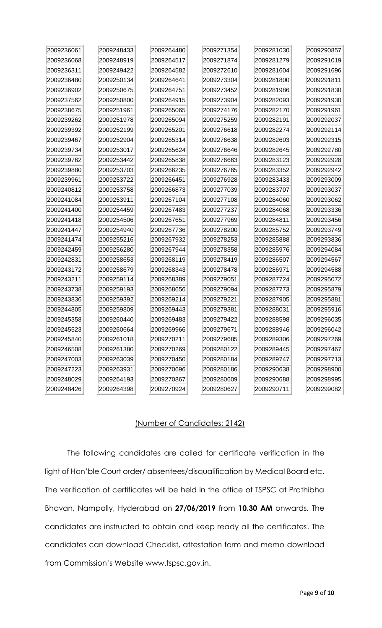| 2009236061 | 2009248433 | 2009264480 | 2009271354 | 2009281030 | 2009290857 |
|------------|------------|------------|------------|------------|------------|
| 2009236068 | 2009248919 | 2009264517 | 2009271874 | 2009281279 | 2009291019 |
| 2009236311 | 2009249422 | 2009264582 | 2009272610 | 2009281604 | 2009291696 |
| 2009236480 | 2009250134 | 2009264641 | 2009273304 | 2009281800 | 2009291811 |
| 2009236902 | 2009250675 | 2009264751 | 2009273452 | 2009281986 | 2009291830 |
| 2009237562 | 2009250800 | 2009264915 | 2009273904 | 2009282093 | 2009291930 |
| 2009238675 | 2009251961 | 2009265065 | 2009274176 | 2009282170 | 2009291961 |
| 2009239262 | 2009251978 | 2009265094 | 2009275259 | 2009282191 | 2009292037 |
| 2009239392 | 2009252199 | 2009265201 | 2009276618 | 2009282274 | 2009292114 |
| 2009239467 | 2009252904 | 2009265314 | 2009276638 | 2009282603 | 2009292315 |
| 2009239734 | 2009253017 | 2009265624 | 2009276646 | 2009282645 | 2009292780 |
| 2009239762 | 2009253442 | 2009265838 | 2009276663 | 2009283123 | 2009292928 |
| 2009239880 | 2009253703 | 2009266235 | 2009276765 | 2009283352 | 2009292942 |
| 2009239961 | 2009253722 | 2009266451 | 2009276928 | 2009283433 | 2009293009 |
| 2009240812 | 2009253758 | 2009266873 | 2009277039 | 2009283707 | 2009293037 |
| 2009241084 | 2009253911 | 2009267104 | 2009277108 | 2009284060 | 2009293062 |
| 2009241400 | 2009254459 | 2009267483 | 2009277237 | 2009284068 | 2009293336 |
| 2009241418 | 2009254506 | 2009267651 | 2009277969 | 2009284811 | 2009293456 |
| 2009241447 | 2009254940 | 2009267736 | 2009278200 | 2009285752 | 2009293749 |
| 2009241474 | 2009255216 | 2009267932 | 2009278253 | 2009285888 | 2009293836 |
| 2009242459 | 2009256280 | 2009267944 | 2009278358 | 2009285976 | 2009294084 |
| 2009242831 | 2009258653 | 2009268119 | 2009278419 | 2009286507 | 2009294567 |
| 2009243172 | 2009258679 | 2009268343 | 2009278478 | 2009286971 | 2009294588 |
| 2009243211 | 2009259114 | 2009268389 | 2009279051 | 2009287724 | 2009295072 |
| 2009243738 | 2009259193 | 2009268656 | 2009279094 | 2009287773 | 2009295879 |
| 2009243836 | 2009259392 | 2009269214 | 2009279221 | 2009287905 | 2009295881 |
| 2009244805 | 2009259809 | 2009269443 | 2009279381 | 2009288031 | 2009295916 |
| 2009245358 | 2009260440 | 2009269483 | 2009279422 | 2009288598 | 2009296035 |
| 2009245523 | 2009260664 | 2009269966 | 2009279671 | 2009288946 | 2009296042 |
| 2009245840 | 2009261018 | 2009270211 | 2009279685 | 2009289306 | 2009297269 |
| 2009246508 | 2009261380 | 2009270269 | 2009280122 | 2009289445 | 2009297467 |
| 2009247003 | 2009263039 | 2009270450 | 2009280184 | 2009289747 | 2009297713 |
| 2009247223 | 2009263931 | 2009270696 | 2009280186 | 2009290638 | 2009298900 |
| 2009248029 | 2009264193 | 2009270867 | 2009280609 | 2009290688 | 2009298995 |
| 2009248426 | 2009264398 | 2009270924 | 2009280627 | 2009290711 | 2009299082 |

### (Number of Candidates: 2142)

The following candidates are called for certificate verification in the light of Hon'ble Court order/ absentees/disqualification by Medical Board etc. The verification of certificates will be held in the office of TSPSC at Prathibha Bhavan, Nampally, Hyderabad on **27/06/2019** from **10.30 AM** onwards. The candidates are instructed to obtain and keep ready all the certificates. The candidates can download Checklist, attestation form and memo download from Commission's Website www.tspsc.gov.in.